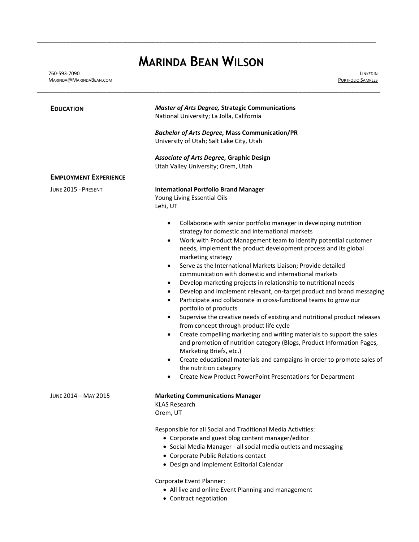# **MARINDA BEAN WILSON**

\_\_\_\_\_\_\_\_\_\_\_\_\_\_\_\_\_\_\_\_\_\_\_\_\_\_\_\_\_\_\_\_\_\_\_\_\_\_\_\_\_\_\_\_\_\_\_\_\_\_\_\_\_\_\_\_\_\_\_\_\_\_\_\_\_\_\_\_\_\_\_\_\_\_\_\_\_\_\_\_\_\_\_

L[INKED](https://www.linkedin.com/in/marindabean)IN P[ORTFOLIO](http://www.marindabean.com/) SAMPLES

| <b>EDUCATION</b>             | <b>Master of Arts Degree, Strategic Communications</b><br>National University; La Jolla, California                                                                                                                                                                                                                                                                                                                                                                                                                                                                                                                                                                                                                                                                                                                                                                                                                                                                                                                                                                                                                                                                                                                                                              |
|------------------------------|------------------------------------------------------------------------------------------------------------------------------------------------------------------------------------------------------------------------------------------------------------------------------------------------------------------------------------------------------------------------------------------------------------------------------------------------------------------------------------------------------------------------------------------------------------------------------------------------------------------------------------------------------------------------------------------------------------------------------------------------------------------------------------------------------------------------------------------------------------------------------------------------------------------------------------------------------------------------------------------------------------------------------------------------------------------------------------------------------------------------------------------------------------------------------------------------------------------------------------------------------------------|
|                              | <b>Bachelor of Arts Degree, Mass Communication/PR</b>                                                                                                                                                                                                                                                                                                                                                                                                                                                                                                                                                                                                                                                                                                                                                                                                                                                                                                                                                                                                                                                                                                                                                                                                            |
|                              | University of Utah; Salt Lake City, Utah                                                                                                                                                                                                                                                                                                                                                                                                                                                                                                                                                                                                                                                                                                                                                                                                                                                                                                                                                                                                                                                                                                                                                                                                                         |
|                              | Associate of Arts Degree, Graphic Design<br>Utah Valley University; Orem, Utah                                                                                                                                                                                                                                                                                                                                                                                                                                                                                                                                                                                                                                                                                                                                                                                                                                                                                                                                                                                                                                                                                                                                                                                   |
| <b>EMPLOYMENT EXPERIENCE</b> |                                                                                                                                                                                                                                                                                                                                                                                                                                                                                                                                                                                                                                                                                                                                                                                                                                                                                                                                                                                                                                                                                                                                                                                                                                                                  |
| JUNE 2015 - PRESENT          | <b>International Portfolio Brand Manager</b><br>Young Living Essential Oils<br>Lehi, UT                                                                                                                                                                                                                                                                                                                                                                                                                                                                                                                                                                                                                                                                                                                                                                                                                                                                                                                                                                                                                                                                                                                                                                          |
|                              | Collaborate with senior portfolio manager in developing nutrition<br>$\bullet$<br>strategy for domestic and international markets<br>Work with Product Management team to identify potential customer<br>$\bullet$<br>needs, implement the product development process and its global<br>marketing strategy<br>Serve as the International Markets Liaison; Provide detailed<br>$\bullet$<br>communication with domestic and international markets<br>Develop marketing projects in relationship to nutritional needs<br>$\bullet$<br>Develop and implement relevant, on-target product and brand messaging<br>$\bullet$<br>Participate and collaborate in cross-functional teams to grow our<br>$\bullet$<br>portfolio of products<br>Supervise the creative needs of existing and nutritional product releases<br>$\bullet$<br>from concept through product life cycle<br>Create compelling marketing and writing materials to support the sales<br>$\bullet$<br>and promotion of nutrition category (Blogs, Product Information Pages,<br>Marketing Briefs, etc.)<br>Create educational materials and campaigns in order to promote sales of<br>$\bullet$<br>the nutrition category<br>Create New Product PowerPoint Presentations for Department<br>$\bullet$ |
| JUNE 2014 - MAY 2015         | <b>Marketing Communications Manager</b><br><b>KLAS Research</b><br>Orem, UT<br>Responsible for all Social and Traditional Media Activities:<br>• Corporate and guest blog content manager/editor<br>• Social Media Manager - all social media outlets and messaging<br>• Corporate Public Relations contact<br>• Design and implement Editorial Calendar                                                                                                                                                                                                                                                                                                                                                                                                                                                                                                                                                                                                                                                                                                                                                                                                                                                                                                         |

- All live and online Event Planning and management
- Contract negotiation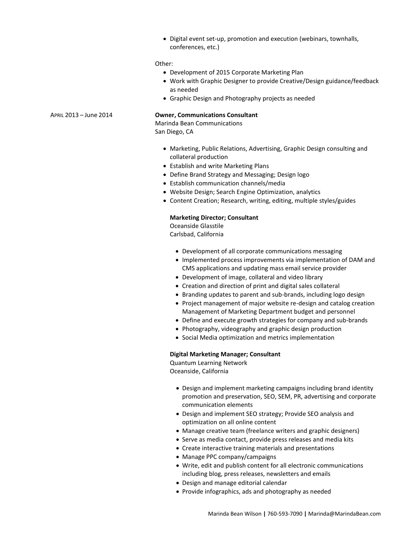Digital event set-up, promotion and execution (webinars, townhalls, conferences, etc.)

#### Other:

- Development of 2015 Corporate Marketing Plan
- Work with Graphic Designer to provide Creative/Design guidance/feedback as needed
- Graphic Design and Photography projects as needed

### APRIL 2013 – June 2014 **Owner, Communications Consultant**

Marinda Bean Communications San Diego, CA

- Marketing, Public Relations, Advertising, Graphic Design consulting and collateral production
- Establish and write Marketing Plans
- Define Brand Strategy and Messaging; Design logo
- Establish communication channels/media
- Website Design; Search Engine Optimization, analytics
- Content Creation; Research, writing, editing, multiple styles/guides

#### **Marketing Director; Consultant**

Oceanside Glasstile Carlsbad, California

- Development of all corporate communications messaging
- Implemented process improvements via implementation of DAM and CMS applications and updating mass email service provider
- Development of image, collateral and video library
- Creation and direction of print and digital sales collateral
- Branding updates to parent and sub-brands, including logo design
- Project management of major website re-design and catalog creation Management of Marketing Department budget and personnel
- Define and execute growth strategies for company and sub-brands
- Photography, videography and graphic design production
- Social Media optimization and metrics implementation

#### **Digital Marketing Manager; Consultant**

Quantum Learning Network Oceanside, California

- Design and implement marketing campaigns including brand identity promotion and preservation, SEO, SEM, PR, advertising and corporate communication elements
- Design and implement SEO strategy; Provide SEO analysis and optimization on all online content
- Manage creative team (freelance writers and graphic designers)
- Serve as media contact, provide press releases and media kits
- Create interactive training materials and presentations
- Manage PPC company/campaigns
- Write, edit and publish content for all electronic communications includin[g blog,](http://www.supercamp.com/summerstudy/) press releases, newsletters and emails
- Design and manage editorial calendar
- Provide infographics, ads and photography as needed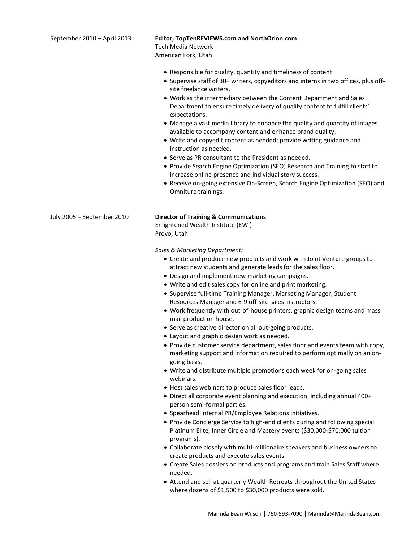| September 2010 - April 2013 | Editor, TopTenREVIEWS.com and NorthOrion.com<br><b>Tech Media Network</b><br>American Fork, Utah<br>• Responsible for quality, quantity and timeliness of content<br>• Supervise staff of 30+ writers, copyeditors and interns in two offices, plus off-<br>site freelance writers.<br>• Work as the intermediary between the Content Department and Sales<br>Department to ensure timely delivery of quality content to fulfill clients'<br>expectations.<br>• Manage a vast media library to enhance the quality and quantity of images<br>available to accompany content and enhance brand quality.<br>• Write and copyedit content as needed; provide writing guidance and<br>instruction as needed.<br>• Serve as PR consultant to the President as needed.<br>• Provide Search Engine Optimization (SEO) Research and Training to staff to<br>increase online presence and individual story success.<br>• Receive on-going extensive On-Screen, Search Engine Optimization (SEO) and<br>Omniture trainings.                                                                                                                                                                                                                                          |
|-----------------------------|------------------------------------------------------------------------------------------------------------------------------------------------------------------------------------------------------------------------------------------------------------------------------------------------------------------------------------------------------------------------------------------------------------------------------------------------------------------------------------------------------------------------------------------------------------------------------------------------------------------------------------------------------------------------------------------------------------------------------------------------------------------------------------------------------------------------------------------------------------------------------------------------------------------------------------------------------------------------------------------------------------------------------------------------------------------------------------------------------------------------------------------------------------------------------------------------------------------------------------------------------------|
| July 2005 - September 2010  | <b>Director of Training &amp; Communications</b><br>Enlightened Wealth Institute (EWI)<br>Provo, Utah<br>Sales & Marketing Department:<br>• Create and produce new products and work with Joint Venture groups to<br>attract new students and generate leads for the sales floor.<br>• Design and implement new marketing campaigns.<br>• Write and edit sales copy for online and print marketing.<br>• Supervise full-time Training Manager, Marketing Manager, Student<br>Resources Manager and 6-9 off-site sales instructors.<br>• Work frequently with out-of-house printers, graphic design teams and mass<br>mail production house.<br>• Serve as creative director on all out-going products.<br>• Layout and graphic design work as needed.<br>• Provide customer service department, sales floor and events team with copy,<br>marketing support and information required to perform optimally on an on-<br>going basis.<br>• Write and distribute multiple promotions each week for on-going sales<br>webinars.<br>• Host sales webinars to produce sales floor leads.<br>• Direct all corporate event planning and execution, including annual 400+<br>person semi-formal parties.<br>• Spearhead Internal PR/Employee Relations initiatives. |

- Provide Concierge Service to high-end clients during and following special Platinum Elite, Inner Circle and Mastery events (\$30,000-\$70,000 tuition programs).
- Collaborate closely with multi-millionaire speakers and business owners to create products and execute sales events.
- Create Sales dossiers on products and programs and train Sales Staff where needed.
- Attend and sell at quarterly Wealth Retreats throughout the United States where dozens of \$1,500 to \$30,000 products were sold.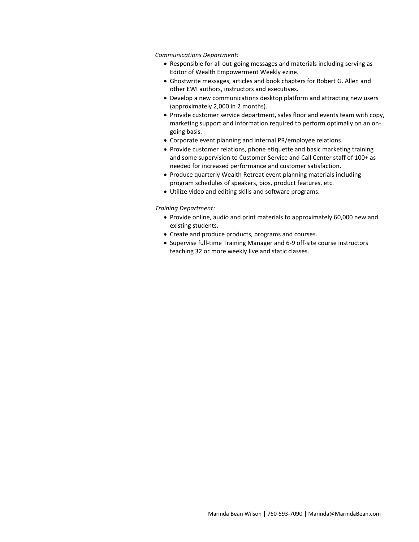*Communications Department:* 

- Responsible for all out-going messages and materials including serving as Editor of Wealth Empowerment Weekly ezine.
- Ghostwrite messages, articles and book chapters for Robert G. Allen and other EWI authors, instructors and executives.
- Develop a new communications desktop platform and attracting new users (approximately 2,000 in 2 months).
- Provide customer service department, sales floor and events team with copy, marketing support and information required to perform optimally on an ongoing basis.
- Corporate event planning and internal PR/employee relations.
- Provide customer relations, phone etiquette and basic marketing training and some supervision to Customer Service and Call Center staff of 100+ as needed for increased performance and customer satisfaction.
- Produce quarterly Wealth Retreat event planning materials including program schedules of speakers, bios, product features, etc.
- Utilize video and editing skills and software programs.

#### *Training Department:*

- Provide online, audio and print materials to approximately 60,000 new and existing students.
- Create and produce products, programs and courses.
- Supervise full-time Training Manager and 6-9 off-site course instructors teaching 32 or more weekly live and static classes.